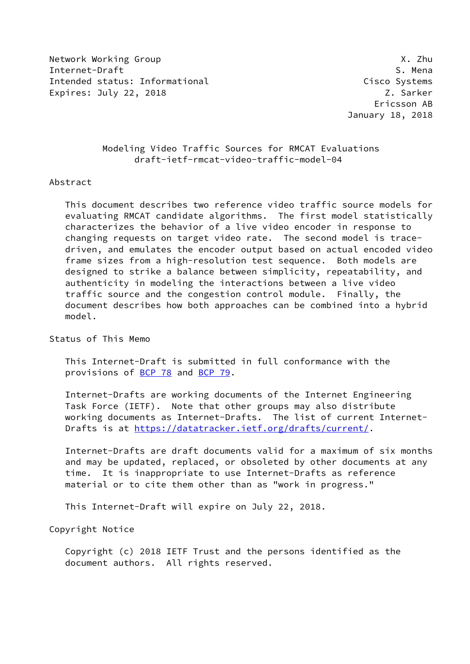Network Working Group **X.2hu** Internet-Draft S. Mena Intended status: Informational Cisco Systems Expires: July 22, 2018 Z. Sarker

## Modeling Video Traffic Sources for RMCAT Evaluations draft-ietf-rmcat-video-traffic-model-04

## Abstract

 This document describes two reference video traffic source models for evaluating RMCAT candidate algorithms. The first model statistically characterizes the behavior of a live video encoder in response to changing requests on target video rate. The second model is trace driven, and emulates the encoder output based on actual encoded video frame sizes from a high-resolution test sequence. Both models are designed to strike a balance between simplicity, repeatability, and authenticity in modeling the interactions between a live video traffic source and the congestion control module. Finally, the document describes how both approaches can be combined into a hybrid model.

Status of This Memo

 This Internet-Draft is submitted in full conformance with the provisions of [BCP 78](https://datatracker.ietf.org/doc/pdf/bcp78) and [BCP 79](https://datatracker.ietf.org/doc/pdf/bcp79).

 Internet-Drafts are working documents of the Internet Engineering Task Force (IETF). Note that other groups may also distribute working documents as Internet-Drafts. The list of current Internet- Drafts is at<https://datatracker.ietf.org/drafts/current/>.

 Internet-Drafts are draft documents valid for a maximum of six months and may be updated, replaced, or obsoleted by other documents at any time. It is inappropriate to use Internet-Drafts as reference material or to cite them other than as "work in progress."

This Internet-Draft will expire on July 22, 2018.

Copyright Notice

 Copyright (c) 2018 IETF Trust and the persons identified as the document authors. All rights reserved.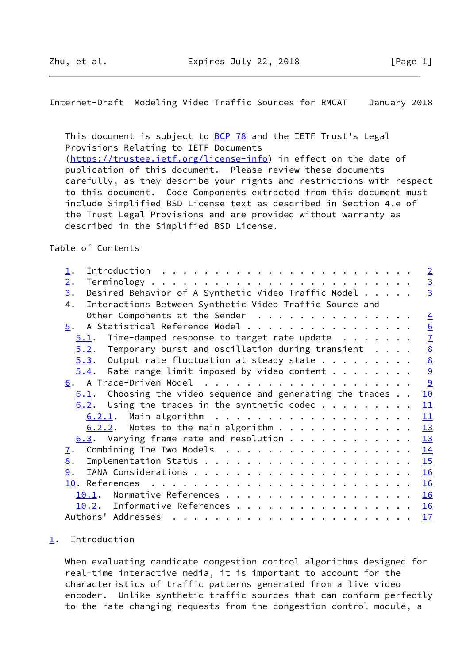<span id="page-1-1"></span>This document is subject to **[BCP 78](https://datatracker.ietf.org/doc/pdf/bcp78)** and the IETF Trust's Legal Provisions Relating to IETF Documents [\(https://trustee.ietf.org/license-info](https://trustee.ietf.org/license-info)) in effect on the date of publication of this document. Please review these documents carefully, as they describe your rights and restrictions with respect to this document. Code Components extracted from this document must include Simplified BSD License text as described in Section 4.e of the Trust Legal Provisions and are provided without warranty as described in the Simplified BSD License.

Table of Contents

| $\overline{\perp}$ .                                                                                                                                                                                                                                | $\overline{2}$  |
|-----------------------------------------------------------------------------------------------------------------------------------------------------------------------------------------------------------------------------------------------------|-----------------|
| 2.                                                                                                                                                                                                                                                  | $\overline{3}$  |
| Desired Behavior of A Synthetic Video Traffic Model<br>3.                                                                                                                                                                                           | $\overline{3}$  |
| Interactions Between Synthetic Video Traffic Source and<br>4.                                                                                                                                                                                       |                 |
| Other Components at the Sender                                                                                                                                                                                                                      | $\overline{4}$  |
| A Statistical Reference Model<br>5.                                                                                                                                                                                                                 | 6               |
| Time-damped response to target rate update $\ldots$<br>5.1.                                                                                                                                                                                         | $\overline{1}$  |
| Temporary burst and oscillation during transient<br>5.2.                                                                                                                                                                                            | $\underline{8}$ |
| Output rate fluctuation at steady state $\ldots$<br>5.3.                                                                                                                                                                                            | $\underline{8}$ |
| Rate range limit imposed by video content $\dots$<br>5.4.                                                                                                                                                                                           | 9               |
|                                                                                                                                                                                                                                                     | 9               |
| Choosing the video sequence and generating the traces<br>6.1.                                                                                                                                                                                       | 10              |
| Using the traces in the synthetic codec<br>6.2.                                                                                                                                                                                                     | 11              |
|                                                                                                                                                                                                                                                     | 11              |
| $6.2.2.$ Notes to the main algorithm                                                                                                                                                                                                                | 13              |
| $6.3$ . Varying frame rate and resolution                                                                                                                                                                                                           | 13              |
| Combining The Two Models<br>7.                                                                                                                                                                                                                      | 14              |
| 8.                                                                                                                                                                                                                                                  | 15              |
| 9.                                                                                                                                                                                                                                                  | 16              |
|                                                                                                                                                                                                                                                     | 16              |
| 10.1.                                                                                                                                                                                                                                               | 16              |
| Informative References<br>10.2.                                                                                                                                                                                                                     | 16              |
| Authors' Addresses<br>. The contract of the contract of the contract of the contract of the contract of the contract of the contract of the contract of the contract of the contract of the contract of the contract of the contract of the contrac | 17              |
|                                                                                                                                                                                                                                                     |                 |

## <span id="page-1-0"></span>[1](#page-1-0). Introduction

 When evaluating candidate congestion control algorithms designed for real-time interactive media, it is important to account for the characteristics of traffic patterns generated from a live video encoder. Unlike synthetic traffic sources that can conform perfectly to the rate changing requests from the congestion control module, a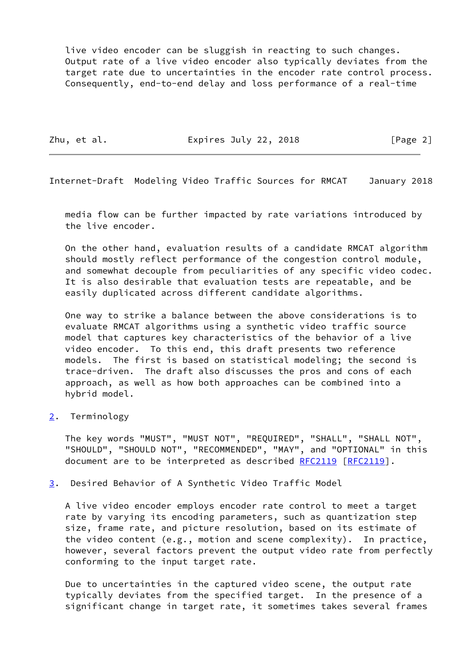live video encoder can be sluggish in reacting to such changes. Output rate of a live video encoder also typically deviates from the target rate due to uncertainties in the encoder rate control process. Consequently, end-to-end delay and loss performance of a real-time

Zhu, et al. **Expires July 22, 2018** [Page 2]

<span id="page-2-1"></span>Internet-Draft Modeling Video Traffic Sources for RMCAT January 2018

 media flow can be further impacted by rate variations introduced by the live encoder.

 On the other hand, evaluation results of a candidate RMCAT algorithm should mostly reflect performance of the congestion control module, and somewhat decouple from peculiarities of any specific video codec. It is also desirable that evaluation tests are repeatable, and be easily duplicated across different candidate algorithms.

 One way to strike a balance between the above considerations is to evaluate RMCAT algorithms using a synthetic video traffic source model that captures key characteristics of the behavior of a live video encoder. To this end, this draft presents two reference models. The first is based on statistical modeling; the second is trace-driven. The draft also discusses the pros and cons of each approach, as well as how both approaches can be combined into a hybrid model.

<span id="page-2-0"></span>[2](#page-2-0). Terminology

 The key words "MUST", "MUST NOT", "REQUIRED", "SHALL", "SHALL NOT", "SHOULD", "SHOULD NOT", "RECOMMENDED", "MAY", and "OPTIONAL" in this document are to be interpreted as described [RFC2119 \[RFC2119](https://datatracker.ietf.org/doc/pdf/rfc2119)].

<span id="page-2-2"></span>[3](#page-2-2). Desired Behavior of A Synthetic Video Traffic Model

 A live video encoder employs encoder rate control to meet a target rate by varying its encoding parameters, such as quantization step size, frame rate, and picture resolution, based on its estimate of the video content (e.g., motion and scene complexity). In practice, however, several factors prevent the output video rate from perfectly conforming to the input target rate.

 Due to uncertainties in the captured video scene, the output rate typically deviates from the specified target. In the presence of a significant change in target rate, it sometimes takes several frames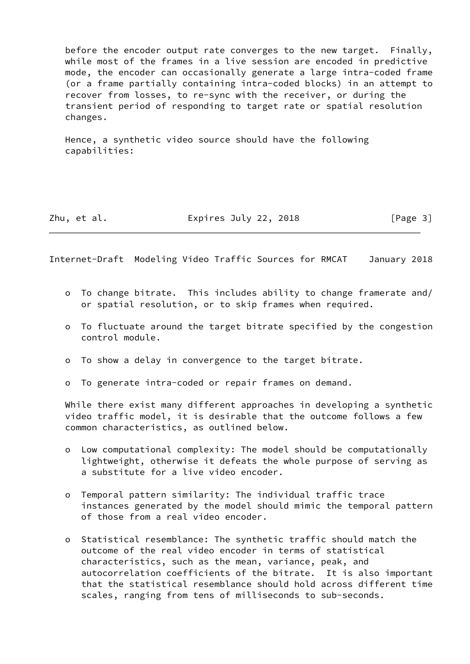before the encoder output rate converges to the new target. Finally, while most of the frames in a live session are encoded in predictive mode, the encoder can occasionally generate a large intra-coded frame (or a frame partially containing intra-coded blocks) in an attempt to recover from losses, to re-sync with the receiver, or during the transient period of responding to target rate or spatial resolution changes.

 Hence, a synthetic video source should have the following capabilities:

Zhu, et al. **Expires July 22, 2018** [Page 3]

<span id="page-3-0"></span>Internet-Draft Modeling Video Traffic Sources for RMCAT January 2018

- o To change bitrate. This includes ability to change framerate and/ or spatial resolution, or to skip frames when required.
- o To fluctuate around the target bitrate specified by the congestion control module.
- o To show a delay in convergence to the target bitrate.
- o To generate intra-coded or repair frames on demand.

 While there exist many different approaches in developing a synthetic video traffic model, it is desirable that the outcome follows a few common characteristics, as outlined below.

- o Low computational complexity: The model should be computationally lightweight, otherwise it defeats the whole purpose of serving as a substitute for a live video encoder.
- o Temporal pattern similarity: The individual traffic trace instances generated by the model should mimic the temporal pattern of those from a real video encoder.
- o Statistical resemblance: The synthetic traffic should match the outcome of the real video encoder in terms of statistical characteristics, such as the mean, variance, peak, and autocorrelation coefficients of the bitrate. It is also important that the statistical resemblance should hold across different time scales, ranging from tens of milliseconds to sub-seconds.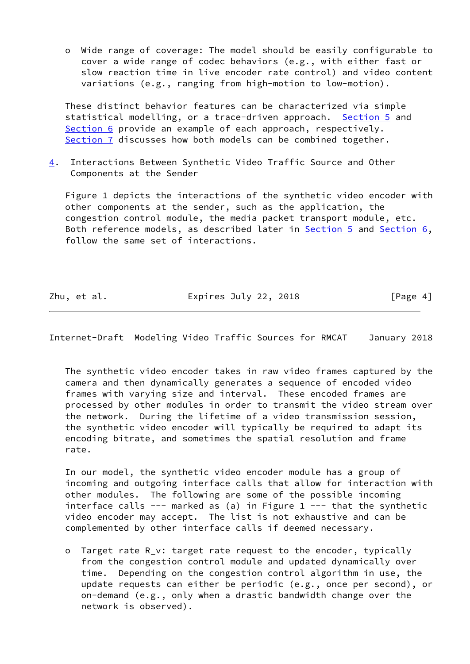o Wide range of coverage: The model should be easily configurable to cover a wide range of codec behaviors (e.g., with either fast or slow reaction time in live encoder rate control) and video content variations (e.g., ranging from high-motion to low-motion).

 These distinct behavior features can be characterized via simple statistical modelling, or a trace-driven approach. [Section 5](#page-6-0) and [Section 6](#page-9-2) provide an example of each approach, respectively. [Section 7](#page-15-0) discusses how both models can be combined together.

<span id="page-4-0"></span>[4](#page-4-0). Interactions Between Synthetic Video Traffic Source and Other Components at the Sender

 Figure 1 depicts the interactions of the synthetic video encoder with other components at the sender, such as the application, the congestion control module, the media packet transport module, etc. Both reference models, as described later in [Section 5](#page-6-0) and [Section 6,](#page-9-2) follow the same set of interactions.

Zhu, et al. **Expires July 22, 2018** [Page 4]

Internet-Draft Modeling Video Traffic Sources for RMCAT January 2018

 The synthetic video encoder takes in raw video frames captured by the camera and then dynamically generates a sequence of encoded video frames with varying size and interval. These encoded frames are processed by other modules in order to transmit the video stream over the network. During the lifetime of a video transmission session, the synthetic video encoder will typically be required to adapt its encoding bitrate, and sometimes the spatial resolution and frame rate.

 In our model, the synthetic video encoder module has a group of incoming and outgoing interface calls that allow for interaction with other modules. The following are some of the possible incoming interface calls  $---$  marked as (a) in Figure 1  $---$  that the synthetic video encoder may accept. The list is not exhaustive and can be complemented by other interface calls if deemed necessary.

 o Target rate R\_v: target rate request to the encoder, typically from the congestion control module and updated dynamically over time. Depending on the congestion control algorithm in use, the update requests can either be periodic (e.g., once per second), or on-demand (e.g., only when a drastic bandwidth change over the network is observed).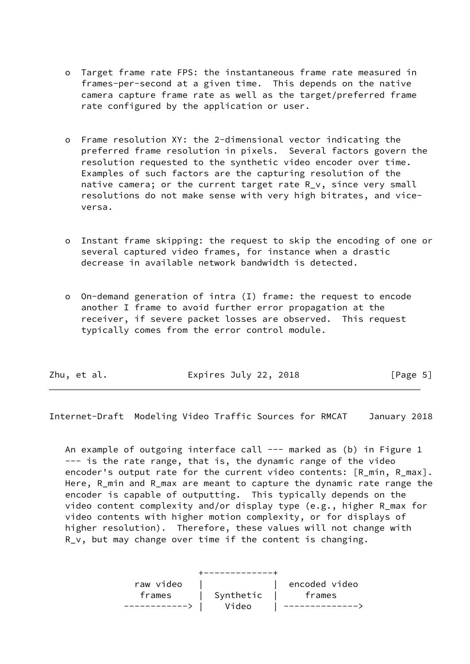- o Target frame rate FPS: the instantaneous frame rate measured in frames-per-second at a given time. This depends on the native camera capture frame rate as well as the target/preferred frame rate configured by the application or user.
- o Frame resolution XY: the 2-dimensional vector indicating the preferred frame resolution in pixels. Several factors govern the resolution requested to the synthetic video encoder over time. Examples of such factors are the capturing resolution of the native camera; or the current target rate R v, since very small resolutions do not make sense with very high bitrates, and vice versa.
- o Instant frame skipping: the request to skip the encoding of one or several captured video frames, for instance when a drastic decrease in available network bandwidth is detected.
- o On-demand generation of intra (I) frame: the request to encode another I frame to avoid further error propagation at the receiver, if severe packet losses are observed. This request typically comes from the error control module.

<span id="page-5-0"></span>

|  | Zhu, et al. | Expires July 22, 2018 | [Page 5] |
|--|-------------|-----------------------|----------|
|--|-------------|-----------------------|----------|

An example of outgoing interface call  $---$  marked as (b) in Figure 1 --- is the rate range, that is, the dynamic range of the video encoder's output rate for the current video contents: [R\_min, R\_max]. Here, R\_min and R\_max are meant to capture the dynamic rate range the encoder is capable of outputting. This typically depends on the video content complexity and/or display type (e.g., higher R\_max for video contents with higher motion complexity, or for displays of higher resolution). Therefore, these values will not change with R\_v, but may change over time if the content is changing.

| raw video |                             | encoded video |
|-----------|-----------------------------|---------------|
|           | frames   Synthetic   frames |               |
|           | Video                       | ------------  |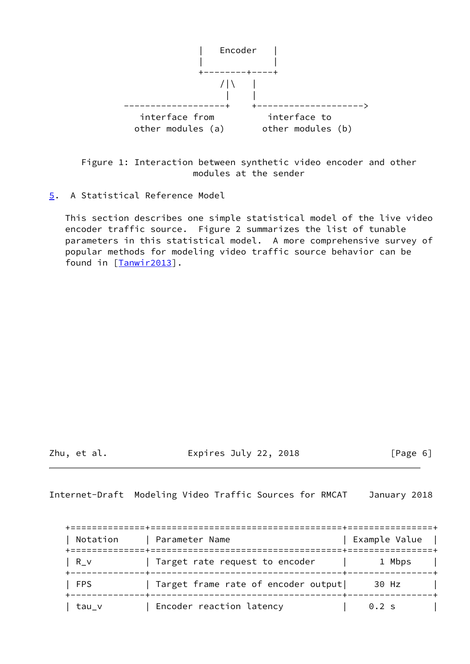

 Figure 1: Interaction between synthetic video encoder and other modules at the sender

<span id="page-6-0"></span>[5](#page-6-0). A Statistical Reference Model

 This section describes one simple statistical model of the live video encoder traffic source. Figure 2 summarizes the list of tunable parameters in this statistical model. A more comprehensive survey of popular methods for modeling video traffic source behavior can be found in [\[Tanwir2013\]](#page-18-1).

Zhu, et al. Expires July 22, 2018 [Page 6]

<span id="page-6-1"></span>Internet-Draft Modeling Video Traffic Sources for RMCAT January 2018

| Notation   | Parameter Name                      | Example Value   |
|------------|-------------------------------------|-----------------|
| R v        | Target rate request to encoder      | 1 Mbps          |
| <b>FPS</b> | Target frame rate of encoder output | 30 Hz           |
| tau v      | Encoder reaction latency            | $0.2 \text{ s}$ |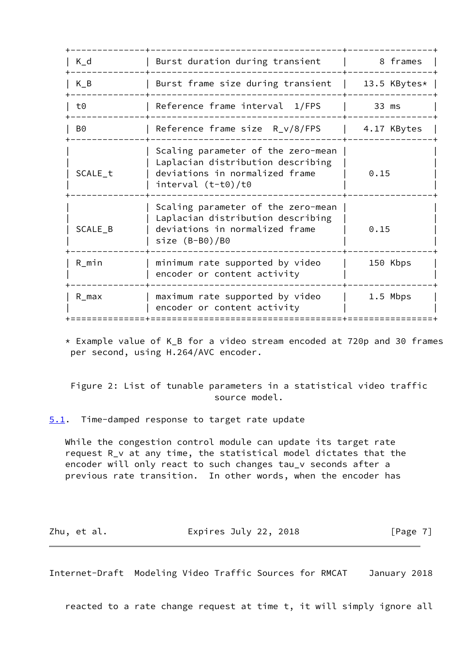| $K_d$     | Burst duration during transient                                                                                                   | 8 frames     |
|-----------|-----------------------------------------------------------------------------------------------------------------------------------|--------------|
| $K_B$     | Burst frame size during transient                                                                                                 | 13.5 KBytes* |
| t0        | Reference frame interval 1/FPS                                                                                                    | 33 ms        |
| B0        | Reference frame size $R_v/8$ /FPS                                                                                                 | 4.17 KBytes  |
| SCALE_t   | Scaling parameter of the zero-mean<br>Laplacian distribution describing<br>deviations in normalized frame<br>interval $(t-t0)/t0$ | 0.15         |
| SCALE_B   | Scaling parameter of the zero-mean<br>Laplacian distribution describing<br>deviations in normalized frame<br>size $(B- B0)/B0$    | 0.15         |
| $R_{min}$ | minimum rate supported by video<br>encoder or content activity                                                                    | 150 Kbps     |
| $R_{max}$ | maximum rate supported by video<br>encoder or content activity                                                                    | 1.5 Mbps     |
|           |                                                                                                                                   |              |

 \* Example value of K\_B for a video stream encoded at 720p and 30 frames per second, using H.264/AVC encoder.

 Figure 2: List of tunable parameters in a statistical video traffic source model.

<span id="page-7-0"></span>[5.1](#page-7-0). Time-damped response to target rate update

 While the congestion control module can update its target rate request R\_v at any time, the statistical model dictates that the encoder will only react to such changes tau\_v seconds after a previous rate transition. In other words, when the encoder has

| Zhu, et al. | Expires July 22, 2018 | [Page 7] |
|-------------|-----------------------|----------|
|-------------|-----------------------|----------|

<span id="page-7-1"></span>Internet-Draft Modeling Video Traffic Sources for RMCAT January 2018

reacted to a rate change request at time t, it will simply ignore all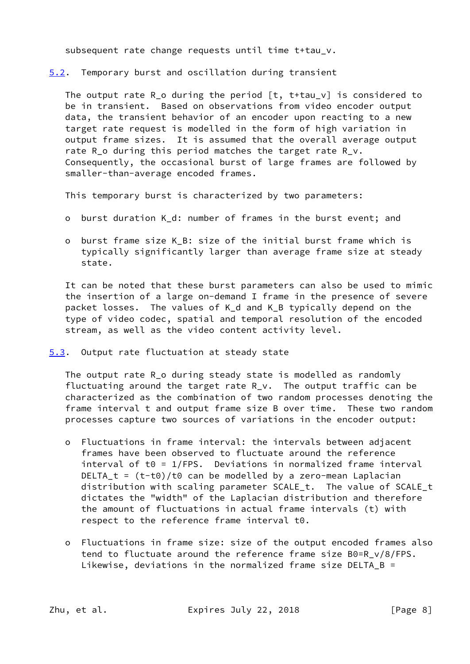subsequent rate change requests until time t+tau\_v.

<span id="page-8-0"></span>[5.2](#page-8-0). Temporary burst and oscillation during transient

 The output rate R\_o during the period [t, t+tau\_v] is considered to be in transient. Based on observations from video encoder output data, the transient behavior of an encoder upon reacting to a new target rate request is modelled in the form of high variation in output frame sizes. It is assumed that the overall average output rate R<sub>1</sub>o during this period matches the target rate R<sub>1</sub>v. Consequently, the occasional burst of large frames are followed by smaller-than-average encoded frames.

This temporary burst is characterized by two parameters:

- o burst duration K\_d: number of frames in the burst event; and
- o burst frame size K\_B: size of the initial burst frame which is typically significantly larger than average frame size at steady state.

 It can be noted that these burst parameters can also be used to mimic the insertion of a large on-demand I frame in the presence of severe packet losses. The values of K\_d and K\_B typically depend on the type of video codec, spatial and temporal resolution of the encoded stream, as well as the video content activity level.

<span id="page-8-1"></span>[5.3](#page-8-1). Output rate fluctuation at steady state

 The output rate R\_o during steady state is modelled as randomly fluctuating around the target rate R\_v. The output traffic can be characterized as the combination of two random processes denoting the frame interval t and output frame size B over time. These two random processes capture two sources of variations in the encoder output:

- o Fluctuations in frame interval: the intervals between adjacent frames have been observed to fluctuate around the reference  $interval$  of t $0 = 1$ /FPS. Deviations in normalized frame interval DELTA\_t =  $(t-t0)/t0$  can be modelled by a zero-mean Laplacian distribution with scaling parameter SCALE\_t. The value of SCALE\_t dictates the "width" of the Laplacian distribution and therefore the amount of fluctuations in actual frame intervals (t) with respect to the reference frame interval t0.
- o Fluctuations in frame size: size of the output encoded frames also tend to fluctuate around the reference frame size B0=R\_v/8/FPS. Likewise, deviations in the normalized frame size DELTA\_B =

Zhu, et al. **Expires July 22, 2018** [Page 8]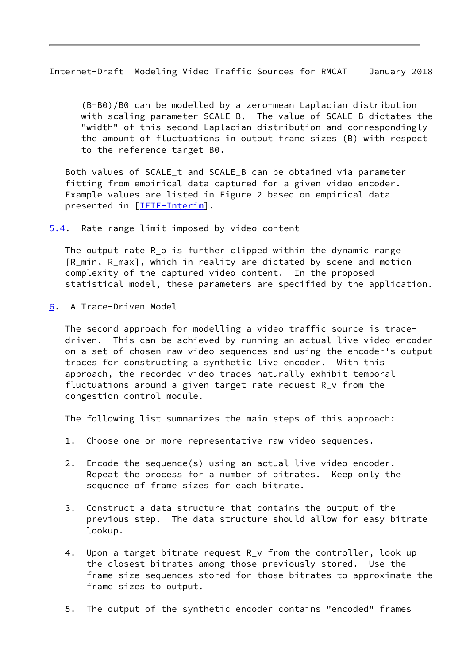<span id="page-9-1"></span> (B-B0)/B0 can be modelled by a zero-mean Laplacian distribution with scaling parameter SCALE B. The value of SCALE B dictates the "width" of this second Laplacian distribution and correspondingly the amount of fluctuations in output frame sizes (B) with respect to the reference target B0.

 Both values of SCALE\_t and SCALE\_B can be obtained via parameter fitting from empirical data captured for a given video encoder. Example values are listed in Figure 2 based on empirical data presented in [\[IETF-Interim](#page-17-5)].

<span id="page-9-0"></span>[5.4](#page-9-0). Rate range limit imposed by video content

 The output rate R\_o is further clipped within the dynamic range [R\_min, R\_max], which in reality are dictated by scene and motion complexity of the captured video content. In the proposed statistical model, these parameters are specified by the application.

<span id="page-9-2"></span>[6](#page-9-2). A Trace-Driven Model

 The second approach for modelling a video traffic source is trace driven. This can be achieved by running an actual live video encoder on a set of chosen raw video sequences and using the encoder's output traces for constructing a synthetic live encoder. With this approach, the recorded video traces naturally exhibit temporal fluctuations around a given target rate request R\_v from the congestion control module.

The following list summarizes the main steps of this approach:

- 1. Choose one or more representative raw video sequences.
- 2. Encode the sequence(s) using an actual live video encoder. Repeat the process for a number of bitrates. Keep only the sequence of frame sizes for each bitrate.
- 3. Construct a data structure that contains the output of the previous step. The data structure should allow for easy bitrate lookup.
- 4. Upon a target bitrate request R\_v from the controller, look up the closest bitrates among those previously stored. Use the frame size sequences stored for those bitrates to approximate the frame sizes to output.
- 5. The output of the synthetic encoder contains "encoded" frames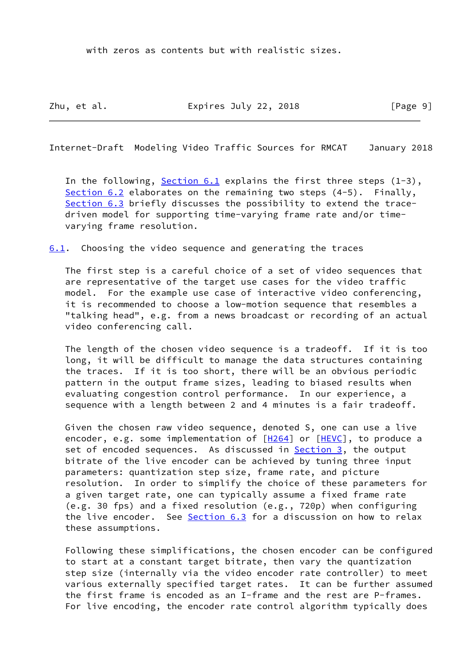with zeros as contents but with realistic sizes.

Zhu, et al. **Expires July 22, 2018** [Page 9]

<span id="page-10-1"></span>Internet-Draft Modeling Video Traffic Sources for RMCAT January 2018

In the following, Section  $6.1$  explains the first three steps  $(1-3)$ , [Section 6.2](#page-11-0) elaborates on the remaining two steps (4-5). Finally, [Section 6.3](#page-14-0) briefly discusses the possibility to extend the trace driven model for supporting time-varying frame rate and/or time varying frame resolution.

<span id="page-10-0"></span>[6.1](#page-10-0). Choosing the video sequence and generating the traces

 The first step is a careful choice of a set of video sequences that are representative of the target use cases for the video traffic model. For the example use case of interactive video conferencing, it is recommended to choose a low-motion sequence that resembles a "talking head", e.g. from a news broadcast or recording of an actual video conferencing call.

 The length of the chosen video sequence is a tradeoff. If it is too long, it will be difficult to manage the data structures containing the traces. If it is too short, there will be an obvious periodic pattern in the output frame sizes, leading to biased results when evaluating congestion control performance. In our experience, a sequence with a length between 2 and 4 minutes is a fair tradeoff.

 Given the chosen raw video sequence, denoted S, one can use a live encoder, e.g. some implementation of  $[H264]$  $[H264]$  or  $[HEVC]$  $[HEVC]$ , to produce a set of encoded sequences. As discussed in **Section 3**, the output bitrate of the live encoder can be achieved by tuning three input parameters: quantization step size, frame rate, and picture resolution. In order to simplify the choice of these parameters for a given target rate, one can typically assume a fixed frame rate (e.g. 30 fps) and a fixed resolution (e.g., 720p) when configuring the live encoder. See [Section 6.3](#page-14-0) for a discussion on how to relax these assumptions.

 Following these simplifications, the chosen encoder can be configured to start at a constant target bitrate, then vary the quantization step size (internally via the video encoder rate controller) to meet various externally specified target rates. It can be further assumed the first frame is encoded as an I-frame and the rest are P-frames. For live encoding, the encoder rate control algorithm typically does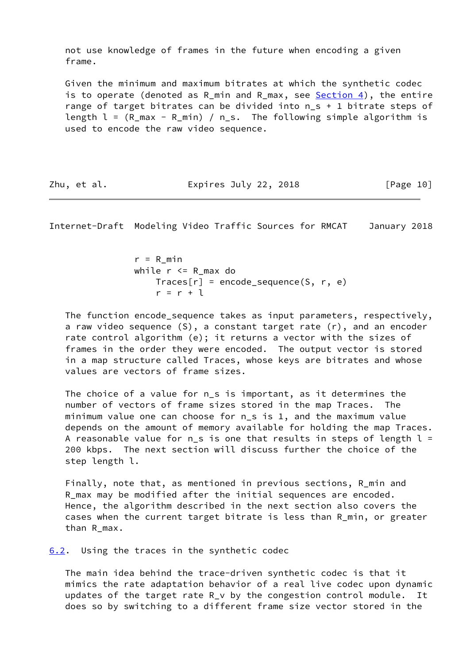not use knowledge of frames in the future when encoding a given frame.

 Given the minimum and maximum bitrates at which the synthetic codec is to operate (denoted as R\_min and R\_max, see  $Section 4$ ), the entire range of target bitrates can be divided into n\_s + 1 bitrate steps of length  $l = (R \text{ max} - R \text{ min}) / n \text{ s}$ . The following simple algorithm is used to encode the raw video sequence.

Zhu, et al. **Expires July 22, 2018** [Page 10]

<span id="page-11-1"></span>Internet-Draft Modeling Video Traffic Sources for RMCAT January 2018

 $r = R$  min while  $r \leq R$  max do  $Trace[r] = encode_s$ equence $(S, r, e)$  $r = r + 1$ 

 The function encode\_sequence takes as input parameters, respectively, a raw video sequence (S), a constant target rate (r), and an encoder rate control algorithm (e); it returns a vector with the sizes of frames in the order they were encoded. The output vector is stored in a map structure called Traces, whose keys are bitrates and whose values are vectors of frame sizes.

 The choice of a value for n\_s is important, as it determines the number of vectors of frame sizes stored in the map Traces. The minimum value one can choose for n\_s is 1, and the maximum value depends on the amount of memory available for holding the map Traces. A reasonable value for  $n_s$  is one that results in steps of length  $l =$  200 kbps. The next section will discuss further the choice of the step length l.

 Finally, note that, as mentioned in previous sections, R\_min and R\_max may be modified after the initial sequences are encoded. Hence, the algorithm described in the next section also covers the cases when the current target bitrate is less than R\_min, or greater than R\_max.

<span id="page-11-0"></span>[6.2](#page-11-0). Using the traces in the synthetic codec

 The main idea behind the trace-driven synthetic codec is that it mimics the rate adaptation behavior of a real live codec upon dynamic updates of the target rate R\_v by the congestion control module. It does so by switching to a different frame size vector stored in the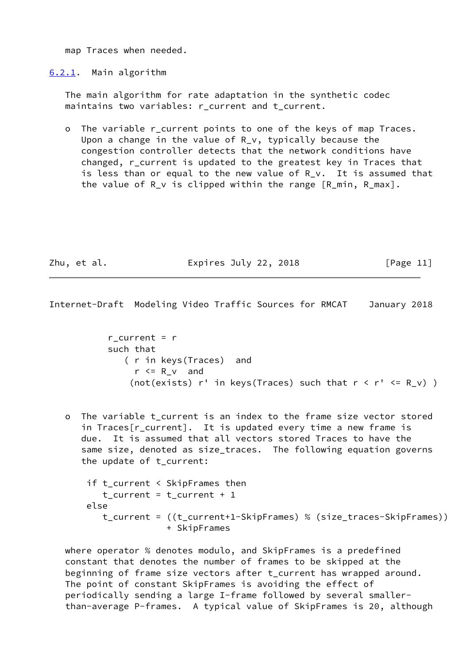map Traces when needed.

<span id="page-12-0"></span>[6.2.1](#page-12-0). Main algorithm

 The main algorithm for rate adaptation in the synthetic codec maintains two variables: r current and t current.

 o The variable r\_current points to one of the keys of map Traces. Upon a change in the value of R\_v, typically because the congestion controller detects that the network conditions have changed, r\_current is updated to the greatest key in Traces that is less than or equal to the new value of R\_v. It is assumed that the value of R\_v is clipped within the range [R\_min, R\_max].

Zhu, et al. **Expires July 22, 2018** [Page 11]

Internet-Draft Modeling Video Traffic Sources for RMCAT January 2018

r current =  $r$  such that ( r in keys(Traces) and  $r \le R \vee$  and (not(exists)  $r'$  in keys(Traces) such that  $r < r' < R_V$ ) )

 o The variable t\_current is an index to the frame size vector stored in Traces[r\_current]. It is updated every time a new frame is due. It is assumed that all vectors stored Traces to have the same size, denoted as size\_traces. The following equation governs the update of t\_current:

```
 if t_current < SkipFrames then
  t_current = t_current + 1
else
   t_current = ((t_current+1-SkipFrames) % (size_traces-SkipFrames))
               + SkipFrames
```
 where operator % denotes modulo, and SkipFrames is a predefined constant that denotes the number of frames to be skipped at the beginning of frame size vectors after t\_current has wrapped around. The point of constant SkipFrames is avoiding the effect of periodically sending a large I-frame followed by several smaller than-average P-frames. A typical value of SkipFrames is 20, although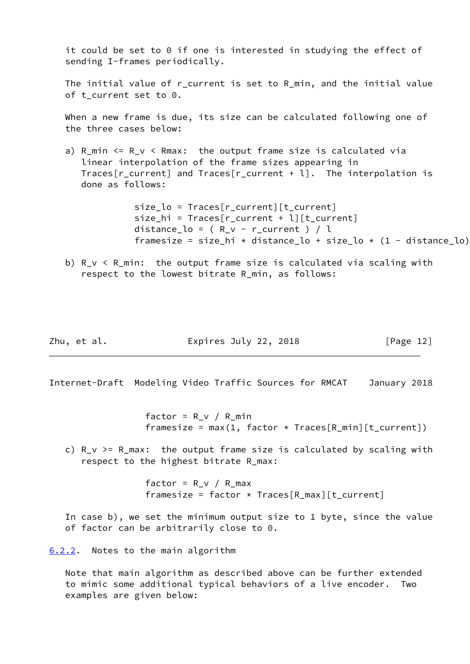it could be set to 0 if one is interested in studying the effect of sending I-frames periodically.

 The initial value of r\_current is set to R\_min, and the initial value of t current set to  $0$ .

 When a new frame is due, its size can be calculated following one of the three cases below:

a)  $R_{min} \le R_{v} \le R_{max}$ : the output frame size is calculated via linear interpolation of the frame sizes appearing in Traces[r\_current] and Traces[r\_current + l]. The interpolation is done as follows:

> size\_lo = Traces[r\_current][t\_current] size hi = Traces[r current + l][t current] distance\_lo =  $(R_v - r_c)$ current  $) / l$ framesize = size\_hi \* distance\_lo + size\_lo \*  $(1 - distance_{lo})$

b)  $R_v < R_{min}$ : the output frame size is calculated via scaling with respect to the lowest bitrate R\_min, as follows:

| Zhu, et al. | Expires July 22, 2018 | [Page 12] |
|-------------|-----------------------|-----------|
|-------------|-----------------------|-----------|

<span id="page-13-1"></span>Internet-Draft Modeling Video Traffic Sources for RMCAT January 2018

factor =  $R_v$  /  $R_m$ in framesize = max(1, factor  $*$  Traces[R\_min][t\_current])

c)  $R_v$  >=  $R_{max}$ : the output frame size is calculated by scaling with respect to the highest bitrate R\_max:

> factor =  $R_v$  /  $R_{max}$ framesize = factor  $*$  Traces[R\_max][t\_current]

 In case b), we set the minimum output size to 1 byte, since the value of factor can be arbitrarily close to 0.

<span id="page-13-0"></span>[6.2.2](#page-13-0). Notes to the main algorithm

 Note that main algorithm as described above can be further extended to mimic some additional typical behaviors of a live encoder. Two examples are given below: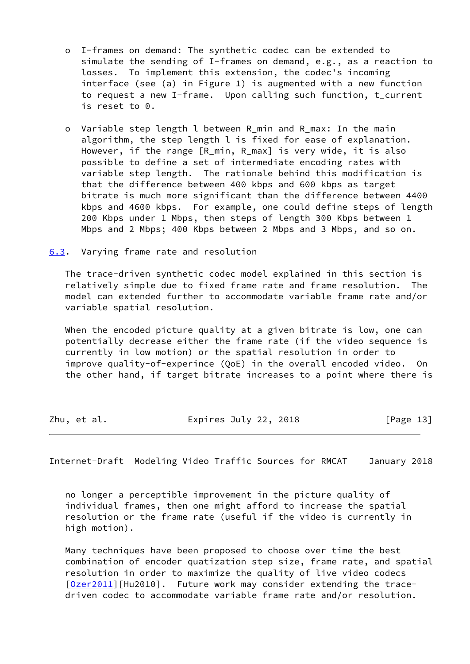- o I-frames on demand: The synthetic codec can be extended to simulate the sending of I-frames on demand, e.g., as a reaction to losses. To implement this extension, the codec's incoming interface (see (a) in Figure 1) is augmented with a new function to request a new I-frame. Upon calling such function, t\_current is reset to 0.
- o Variable step length l between R\_min and R\_max: In the main algorithm, the step length l is fixed for ease of explanation. However, if the range [R\_min, R\_max] is very wide, it is also possible to define a set of intermediate encoding rates with variable step length. The rationale behind this modification is that the difference between 400 kbps and 600 kbps as target bitrate is much more significant than the difference between 4400 kbps and 4600 kbps. For example, one could define steps of length 200 Kbps under 1 Mbps, then steps of length 300 Kbps between 1 Mbps and 2 Mbps; 400 Kbps between 2 Mbps and 3 Mbps, and so on.

<span id="page-14-0"></span>[6.3](#page-14-0). Varying frame rate and resolution

 The trace-driven synthetic codec model explained in this section is relatively simple due to fixed frame rate and frame resolution. The model can extended further to accommodate variable frame rate and/or variable spatial resolution.

When the encoded picture quality at a given bitrate is low, one can potentially decrease either the frame rate (if the video sequence is currently in low motion) or the spatial resolution in order to improve quality-of-experince (QoE) in the overall encoded video. On the other hand, if target bitrate increases to a point where there is

| Zhu, et al. | Expires July 22, 2018 | [Page 13] |
|-------------|-----------------------|-----------|
|             |                       |           |

<span id="page-14-1"></span>Internet-Draft Modeling Video Traffic Sources for RMCAT January 2018

 no longer a perceptible improvement in the picture quality of individual frames, then one might afford to increase the spatial resolution or the frame rate (useful if the video is currently in high motion).

 Many techniques have been proposed to choose over time the best combination of encoder quatization step size, frame rate, and spatial resolution in order to maximize the quality of live video codecs [\[Ozer2011](#page-17-8)][Hu2010]. Future work may consider extending the tracedriven codec to accommodate variable frame rate and/or resolution.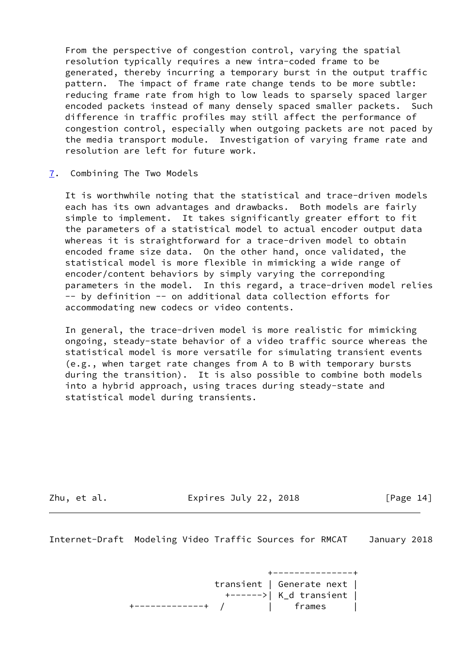From the perspective of congestion control, varying the spatial resolution typically requires a new intra-coded frame to be generated, thereby incurring a temporary burst in the output traffic pattern. The impact of frame rate change tends to be more subtle: reducing frame rate from high to low leads to sparsely spaced larger encoded packets instead of many densely spaced smaller packets. Such difference in traffic profiles may still affect the performance of congestion control, especially when outgoing packets are not paced by the media transport module. Investigation of varying frame rate and resolution are left for future work.

<span id="page-15-0"></span>[7](#page-15-0). Combining The Two Models

 It is worthwhile noting that the statistical and trace-driven models each has its own advantages and drawbacks. Both models are fairly simple to implement. It takes significantly greater effort to fit the parameters of a statistical model to actual encoder output data whereas it is straightforward for a trace-driven model to obtain encoded frame size data. On the other hand, once validated, the statistical model is more flexible in mimicking a wide range of encoder/content behaviors by simply varying the correponding parameters in the model. In this regard, a trace-driven model relies -- by definition -- on additional data collection efforts for accommodating new codecs or video contents.

 In general, the trace-driven model is more realistic for mimicking ongoing, steady-state behavior of a video traffic source whereas the statistical model is more versatile for simulating transient events (e.g., when target rate changes from A to B with temporary bursts during the transition). It is also possible to combine both models into a hybrid approach, using traces during steady-state and statistical model during transients.

Zhu, et al. **Expires July 22, 2018** [Page 14]

<span id="page-15-1"></span>Internet-Draft Modeling Video Traffic Sources for RMCAT January 2018

 +---------------+ transient | Generate next | +------>| K\_d transient | +-------------+ / | frames |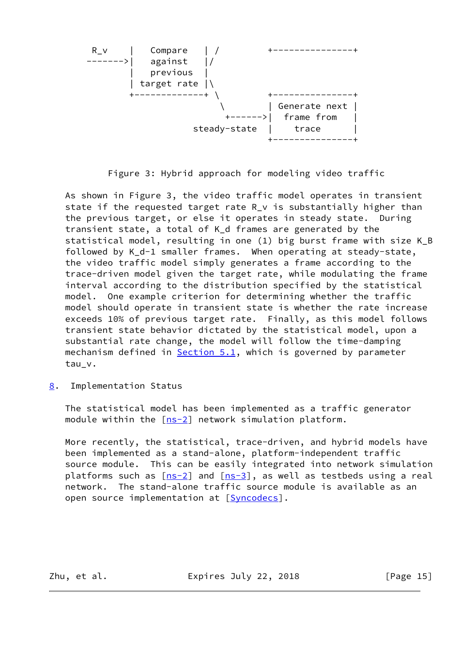

Figure 3: Hybrid approach for modeling video traffic

 As shown in Figure 3, the video traffic model operates in transient state if the requested target rate R\_v is substantially higher than the previous target, or else it operates in steady state. During transient state, a total of K\_d frames are generated by the statistical model, resulting in one (1) big burst frame with size K\_B followed by K\_d-1 smaller frames. When operating at steady-state, the video traffic model simply generates a frame according to the trace-driven model given the target rate, while modulating the frame interval according to the distribution specified by the statistical model. One example criterion for determining whether the traffic model should operate in transient state is whether the rate increase exceeds 10% of previous target rate. Finally, as this model follows transient state behavior dictated by the statistical model, upon a substantial rate change, the model will follow the time-damping mechanism defined in  $Section 5.1$ , which is governed by parameter tau\_v.

<span id="page-16-0"></span>[8](#page-16-0). Implementation Status

 The statistical model has been implemented as a traffic generator module within the  $[ns-2]$  $[ns-2]$  network simulation platform.

 More recently, the statistical, trace-driven, and hybrid models have been implemented as a stand-alone, platform-independent traffic source module. This can be easily integrated into network simulation platforms such as  $[ns-2]$  $[ns-2]$  and  $[ns-3]$  $[ns-3]$ , as well as testbeds using a real network. The stand-alone traffic source module is available as an open source implementation at [[Syncodecs\]](#page-18-2).

Zhu, et al. **Expires July 22, 2018** [Page 15]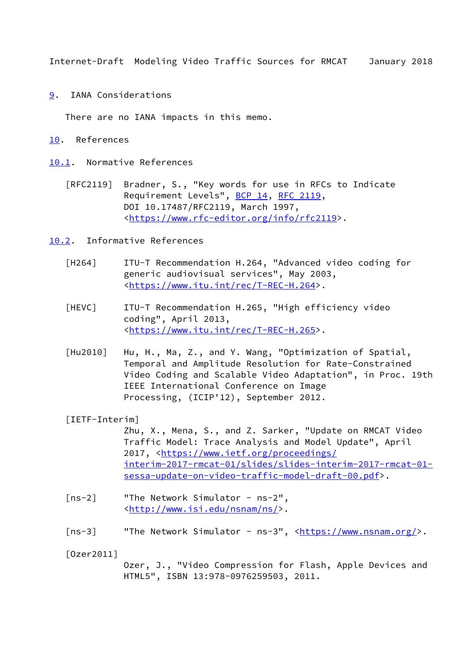<span id="page-17-1"></span><span id="page-17-0"></span>[9](#page-17-0). IANA Considerations

There are no IANA impacts in this memo.

<span id="page-17-2"></span>[10.](#page-17-2) References

<span id="page-17-3"></span>[10.1](#page-17-3). Normative References

 [RFC2119] Bradner, S., "Key words for use in RFCs to Indicate Requirement Levels", [BCP 14](https://datatracker.ietf.org/doc/pdf/bcp14), [RFC 2119](https://datatracker.ietf.org/doc/pdf/rfc2119), DOI 10.17487/RFC2119, March 1997, <[https://www.rfc-editor.org/info/rfc2119>](https://www.rfc-editor.org/info/rfc2119).

<span id="page-17-4"></span>[10.2](#page-17-4). Informative References

- <span id="page-17-6"></span> [H264] ITU-T Recommendation H.264, "Advanced video coding for generic audiovisual services", May 2003, <[https://www.itu.int/rec/T-REC-H.264>](https://www.itu.int/rec/T-REC-H.264).
- <span id="page-17-7"></span> [HEVC] ITU-T Recommendation H.265, "High efficiency video coding", April 2013, <[https://www.itu.int/rec/T-REC-H.265>](https://www.itu.int/rec/T-REC-H.265).
- [Hu2010] Hu, H., Ma, Z., and Y. Wang, "Optimization of Spatial, Temporal and Amplitude Resolution for Rate-Constrained Video Coding and Scalable Video Adaptation", in Proc. 19th IEEE International Conference on Image Processing, (ICIP'12), September 2012.

<span id="page-17-5"></span>[IETF-Interim]

 Zhu, X., Mena, S., and Z. Sarker, "Update on RMCAT Video Traffic Model: Trace Analysis and Model Update", April 2017, [<https://www.ietf.org/proceedings/](https://www.ietf.org/proceedings/interim-2017-rmcat-01/slides/slides-interim-2017-rmcat-01-sessa-update-on-video-traffic-model-draft-00.pdf) [interim-2017-rmcat-01/slides/slides-interim-2017-rmcat-01](https://www.ietf.org/proceedings/interim-2017-rmcat-01/slides/slides-interim-2017-rmcat-01-sessa-update-on-video-traffic-model-draft-00.pdf) [sessa-update-on-video-traffic-model-draft-00.pdf>](https://www.ietf.org/proceedings/interim-2017-rmcat-01/slides/slides-interim-2017-rmcat-01-sessa-update-on-video-traffic-model-draft-00.pdf).

- <span id="page-17-9"></span> [ns-2] "The Network Simulator - ns-2", <[http://www.isi.edu/nsnam/ns/>](http://www.isi.edu/nsnam/ns/).
- <span id="page-17-10"></span>[ns-3] "The Network Simulator - ns-3", <<https://www.nsnam.org/>>.

<span id="page-17-8"></span>[Ozer2011]

 Ozer, J., "Video Compression for Flash, Apple Devices and HTML5", ISBN 13:978-0976259503, 2011.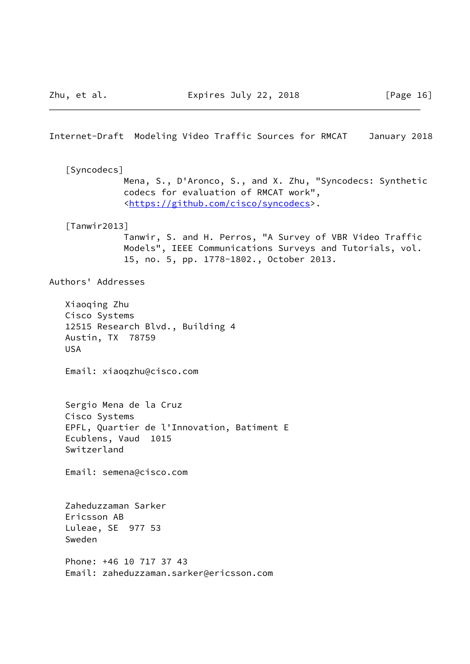<span id="page-18-2"></span><span id="page-18-1"></span><span id="page-18-0"></span>Internet-Draft Modeling Video Traffic Sources for RMCAT January 2018 [Syncodecs] Mena, S., D'Aronco, S., and X. Zhu, "Syncodecs: Synthetic codecs for evaluation of RMCAT work", <[https://github.com/cisco/syncodecs>](https://github.com/cisco/syncodecs). [Tanwir2013] Tanwir, S. and H. Perros, "A Survey of VBR Video Traffic Models", IEEE Communications Surveys and Tutorials, vol. 15, no. 5, pp. 1778-1802., October 2013. Authors' Addresses Xiaoqing Zhu Cisco Systems 12515 Research Blvd., Building 4 Austin, TX 78759 USA Email: xiaoqzhu@cisco.com Sergio Mena de la Cruz Cisco Systems EPFL, Quartier de l'Innovation, Batiment E Ecublens, Vaud 1015 Switzerland Email: semena@cisco.com Zaheduzzaman Sarker Ericsson AB Luleae, SE 977 53 Sweden Phone: +46 10 717 37 43 Email: zaheduzzaman.sarker@ericsson.com